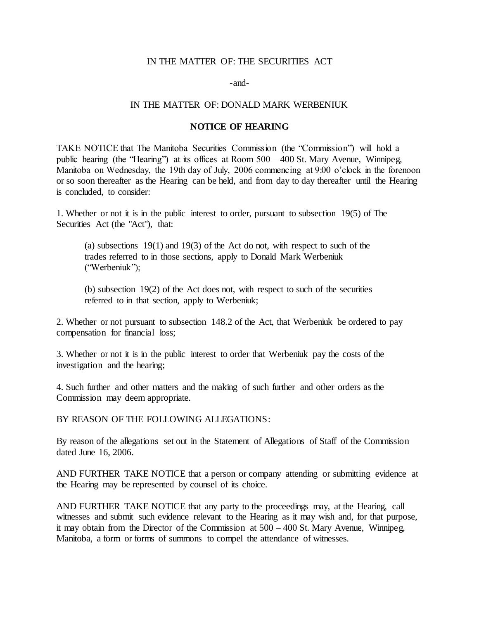## IN THE MATTER OF: THE SECURITIES ACT

-and-

## IN THE MATTER OF: DONALD MARK WERBENIUK

## **NOTICE OF HEARING**

TAKE NOTICE that The Manitoba Securities Commission (the "Commission") will hold a public hearing (the "Hearing") at its offices at Room 500 – 400 St. Mary Avenue, Winnipeg, Manitoba on Wednesday, the 19th day of July, 2006 commencing at 9:00 o'clock in the forenoon or so soon thereafter as the Hearing can be held, and from day to day thereafter until the Hearing is concluded, to consider:

1. Whether or not it is in the public interest to order, pursuant to subsection 19(5) of The Securities Act (the "Act"), that:

(a) subsections 19(1) and 19(3) of the Act do not, with respect to such of the trades referred to in those sections, apply to Donald Mark Werbeniuk ("Werbeniuk");

(b) subsection 19(2) of the Act does not, with respect to such of the securities referred to in that section, apply to Werbeniuk;

2. Whether or not pursuant to subsection 148.2 of the Act, that Werbeniuk be ordered to pay compensation for financial loss;

3. Whether or not it is in the public interest to order that Werbeniuk pay the costs of the investigation and the hearing;

4. Such further and other matters and the making of such further and other orders as the Commission may deem appropriate.

BY REASON OF THE FOLLOWING ALLEGATIONS:

By reason of the allegations set out in the Statement of Allegations of Staff of the Commission dated June 16, 2006.

AND FURTHER TAKE NOTICE that a person or company attending or submitting evidence at the Hearing may be represented by counsel of its choice.

AND FURTHER TAKE NOTICE that any party to the proceedings may, at the Hearing, call witnesses and submit such evidence relevant to the Hearing as it may wish and, for that purpose, it may obtain from the Director of the Commission at 500 – 400 St. Mary Avenue, Winnipeg, Manitoba, a form or forms of summons to compel the attendance of witnesses.